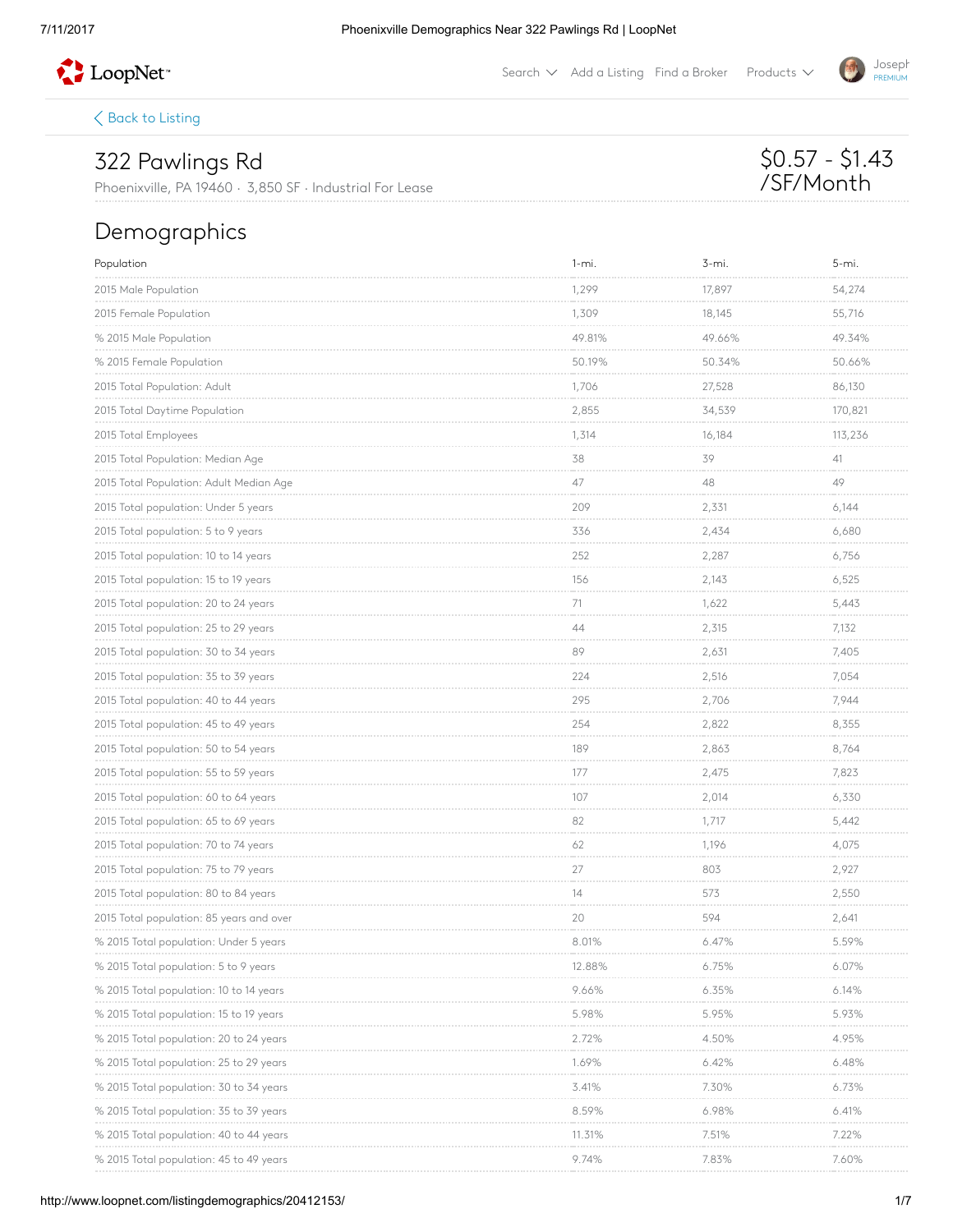

Search  $\vee$  Add a [Listing](http://www.loopnet.com/xNet/MainSite/Listing/Manage/?linkcode=31818) Find a [Broker](http://www.loopnet.com/xNet/MainSite/User/Directory/Search/SearchCriteria.aspx?linkcode=31819) Products  $\vee$ 

 $\langle$  Back to [Listing](http://www.loopnet.com/Listing/20412153/322-Pawlings-Rd-Phoenixville-PA/)

## 322 Pawlings Rd

Phoenixville, PA 19460 · 3,850 SF · Industrial For Lease

## Demographics

| Population                               | $1 - mi.$                  | 3-mi.                       | $5 - mi.$                   |
|------------------------------------------|----------------------------|-----------------------------|-----------------------------|
| 2015 Male Population                     | 1,299                      | 17,897<br><b>Contractor</b> | 54,274<br><b>CONTRACTOR</b> |
| 2015 Female Population                   | 1,309                      | 18,145                      | 55,716                      |
| % 2015 Male Population                   | 49.81%                     | 49.66%                      | 49.34%                      |
| % 2015 Female Population                 | 50.19%                     | 50.34%<br>.                 | 50.66%<br><b>CONTRACTOR</b> |
| 2015 Total Population: Adult             | 1,706                      | 27,528                      | 86,130                      |
| 2015 Total Daytime Population            | 2,855                      | 34,539                      | 170,821                     |
| 2015 Total Employees                     | 1,314                      | 16,184                      | 113,236                     |
| 2015 Total Population: Median Age        | 38<br><b>COLLA</b>         | 39<br><b>Contractor</b>     | 41<br><b>Contractor</b>     |
| 2015 Total Population: Adult Median Age  | 47                         | 48                          | 49                          |
| 2015 Total population: Under 5 years     | 209                        | 2,331                       | 6,144                       |
| 2015 Total population: 5 to 9 years      | 336                        | 2,434                       | 6,680                       |
| 2015 Total population: 10 to 14 years    | 252                        | 2,287                       | 6,756                       |
| 2015 Total population: 15 to 19 years    | 156                        | 2,143                       | 6,525                       |
| 2015 Total population: 20 to 24 years    | 71                         | 1,622                       | 5,443                       |
| 2015 Total population: 25 to 29 years    | 44                         | 2,315                       | 7,132                       |
| 2015 Total population: 30 to 34 years    | 89                         | 2,631<br><b>CONTRACTOR</b>  | 7,405<br><b>CONTRACTOR</b>  |
| 2015 Total population: 35 to 39 years    | 224                        | 2,516                       | 7,054                       |
| 2015 Total population: 40 to 44 years    | 295<br><b>COLOR</b>        | 2,706<br><b>Contractor</b>  | 7,944<br><b>CONTRACT</b>    |
| 2015 Total population: 45 to 49 years    | 254                        | 2,822                       | 8,355                       |
| 2015 Total population: 50 to 54 years    | 189                        | 2,863                       | 8,764                       |
| 2015 Total population: 55 to 59 years    | 177                        | 2,475                       | 7,823                       |
| 2015 Total population: 60 to 64 years    | 107                        | 2,014                       | 6,330                       |
| 2015 Total population: 65 to 69 years    | 82<br><b>COLOR</b>         | 1,717<br><b>Contractor</b>  | 5,442                       |
| 2015 Total population: 70 to 74 years    | 62                         | 1,196                       | 4,075                       |
| 2015 Total population: 75 to 79 years    | 27<br><b>COLOR</b>         | 803                         | 2,927<br>and a state        |
| 2015 Total population: 80 to 84 years    | 14                         | 573                         | 2,550                       |
| 2015 Total population: 85 years and over | 20                         | 594                         | 2,641                       |
| % 2015 Total population: Under 5 years   | 8.01%                      | 6.47%                       | 5.59%                       |
| % 2015 Total population: 5 to 9 years    | 12.88%                     | 6.75%                       | 6.07%                       |
| % 2015 lotal population: 10 to 14 years  | 9.66%<br><b>CONTRACTOR</b> | 6.35%<br><b>CONTRACTOR</b>  | 6.14%<br><b>CONTRACTOR</b>  |
| % 2015 Total population: 15 to 19 years  | 5.98%                      | 5.95%                       | 5.93%                       |
| % 2015 Total population: 20 to 24 years  | 2.72%                      | 4.50%                       | 4.95%                       |
| % 2015 Iotal population: 25 to 29 years  | 1.69%                      | 6.42%                       | 6.48%                       |
| % 2015 Iotal population: 30 to 34 years  | 3.41%                      | 7.30%                       | 6.73%                       |
| % 2015 Total population: 35 to 39 years  | 8.59%                      | 6.98%                       | 6.41%                       |
| % 2015 lotal population: 40 to 44 years  | 11.31%                     | 7.51%                       | 7.22%                       |
| % 2015 Total population: 45 to 49 years  | 9.74%                      | 7.83%                       | 7.60%                       |



\$0.57 - \$1.43 /SF/Month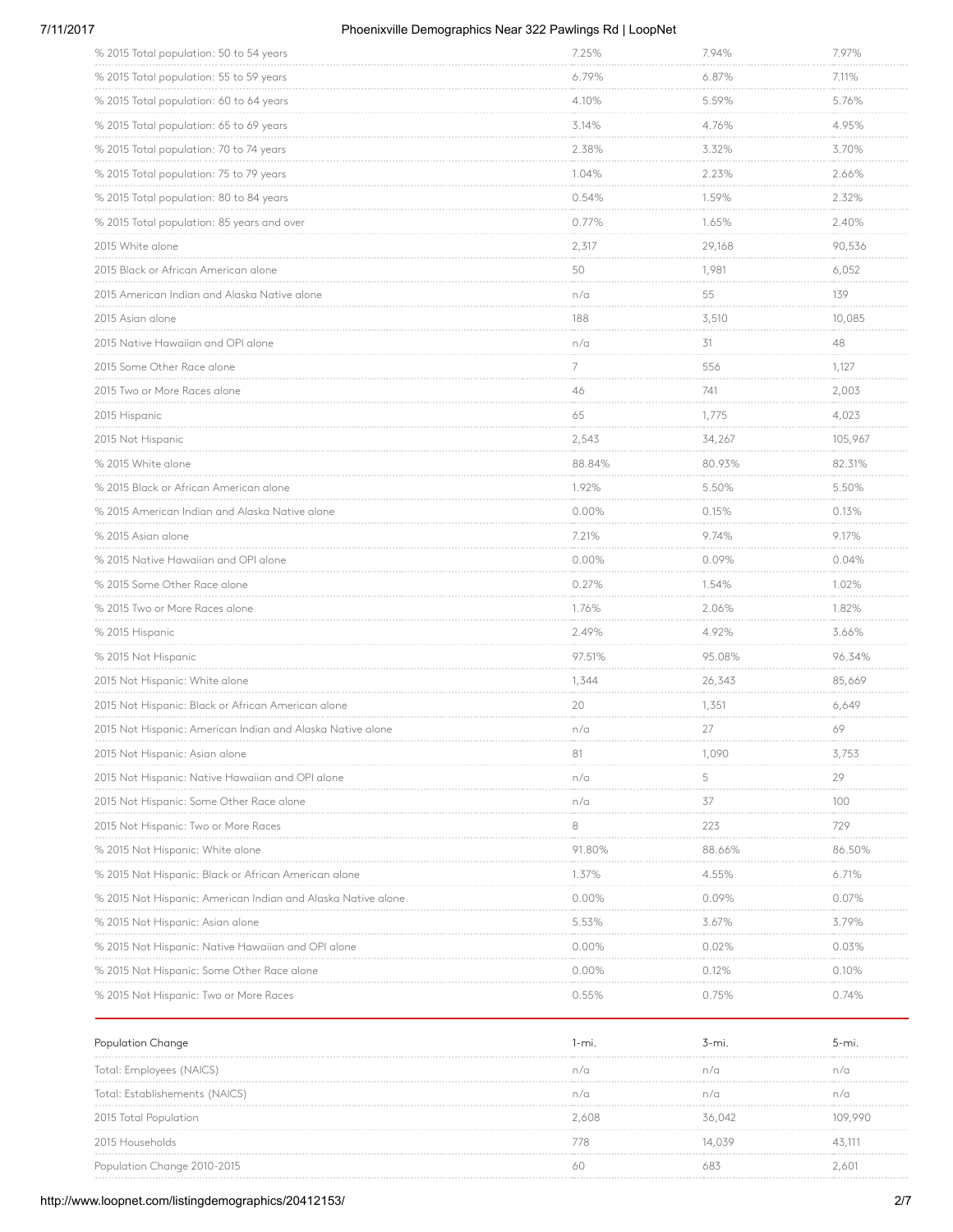### 7/11/2017 Phoenixville Demographics Near 322 Pawlings Rd | LoopNet

| % 2015 Total population: 50 to 54 years                      | 7.25%                           | 7.94%                             | 7.97%                        |
|--------------------------------------------------------------|---------------------------------|-----------------------------------|------------------------------|
| % 2015 Total population: 55 to 59 years                      | 6.79%<br>.                      | 6.87%<br>.                        | 7.11%<br><b>Contractor</b>   |
| % 2015 Total population: 60 to 64 years                      | 4.10%<br><b>CONTRACTOR</b>      | 5.59%                             | 5.76%                        |
| % 2015 Total population: 65 to 69 years                      | 3.14%                           | 4.76%                             | 4.95%                        |
| % 2015 Total population: 70 to 74 years                      | 2.38%                           | 3.32%<br><b>CONTRACTOR</b>        | 3.70%<br><b>Contractor</b>   |
| % 2015 Total population: 75 to 79 years                      | 1.04%                           | 2.23%                             | 2.66%                        |
| % 2015 Total population: 80 to 84 years                      | 0.54%                           | 1.59%                             | 2.32%                        |
| % 2015 Total population: 85 years and over                   | 0.77%                           | 1.65%                             | 2.40%                        |
| 2015 White alone                                             | 2,317                           | 29,168                            | 90,536                       |
| 2015 Black or African American alone                         | 50<br><b>CONTRACTOR</b>         | 1,981<br><b>Contractor</b>        | 6,052<br>an an an an         |
| 2015 American Indian and Alaska Native alone                 | n/a                             | 55                                | 139                          |
| 2015 Asian alone                                             | 188<br><b>Contract Contract</b> | 3,510<br><b>Contract Contract</b> | 10,085<br>and a company      |
| 2015 Native Hawaiian and OPI alone                           | n/a                             | 31                                | 48                           |
| 2015 Some Other Race alone                                   | 7                               | 556<br><b>Contractor</b>          | 1,127                        |
| 2015 Two or More Races alone                                 | 46                              | 741                               | 2,003                        |
| 2015 Hispanic                                                | 65                              | 1,775                             | 4,023                        |
| 2015 Not Hispanic                                            | 2,543<br><b>Contractor</b>      | 34,267<br><b>CONTRACTOR</b>       | 105,967<br><b>CONTRACTOR</b> |
| % 2015 White alone                                           | 88.84%                          | 80.93%                            | 82.31%                       |
| % 2015 Black or African American alone                       | 1.92%                           | 5.50%<br>.                        | 5.50%                        |
| % 2015 American Indian and Alaska Native alone               | 0.00%<br><b>Contractor</b>      | 0.15%                             | 0.13%                        |
| % 2015 Asian alone                                           | 7.21%                           | 9.74%                             | 9.17%                        |
| % 2015 Native Hawaiian and OPI alone                         | 0.00%                           | 0.09%                             | 0.04%                        |
| % 2015 Some Other Race alone                                 | 0.27%                           | 1.54%                             | 1.02%                        |
| % 2015 Two or More Races alone                               | 1.76%                           | 2.06%<br>.                        | 1.82%                        |
| % 2015 Hispanic                                              | 2.49%                           | 4.92%                             | 3.66%                        |
| % 2015 Not Hispanic                                          | 97.51%                          | 95.08%                            | 96.34%                       |
| 2015 Not Hispanic: White alone                               | 1,344                           | 26,343<br><b>CONTRACTOR</b>       | 85,669                       |
| 2015 Not Hispanic: Black or African American alone           | 20                              | 1,351                             | 6,649                        |
| 2015 Not Hispanic: American Indian and Alaska Native alone   | n/a                             | 27                                | 69                           |
| 2015 Not Hispanic: Asian alone                               | 81                              | 1,090                             | 3,753                        |
| 2015 Not Hispanic: Native Hawaiian and OPI alone             | n/a                             | 5                                 | 29                           |
| 2015 Not Hispanic: Some Other Race alone                     | n/a                             | 37                                | 100                          |
| 2015 Not Hispanic: Two or More Races                         | 8                               | 223                               | 729                          |
| % 2015 Not Hispanic: White alone                             | 91.80%                          | 88.66%                            | 86.50%                       |
| % 2015 Not Hispanic: Black or African American alone         | 1.37%                           | 4.55%                             | 6.71%                        |
| % 2015 Not Hispanic: American Indian and Alaska Native alone | 0.00%                           | 0.09%                             | 0.07%                        |
| % 2015 Not Hispanic: Asian alone                             | 5.53%                           | 3.67%                             | 3.79%                        |
| % 2015 Not Hispanic: Native Hawaiian and OPI alone           | 0.00%                           | 0.02%                             | 0.03%                        |
| % 2015 Not Hispanic: Some Other Race alone                   | $0.00\%$                        | 0.12%                             | 0.10%                        |
| % 2015 Not Hispanic: Two or More Races                       | 0.55%                           | 0.75%                             | 0.74%                        |

| Population Change              | l-mi  | 3-mi.  | b-mi.   |
|--------------------------------|-------|--------|---------|
| Iotal: Employees (NAICS)       |       |        | n/a     |
| Total: Establishements (NAICS) |       |        | n/c     |
| 2015 Total Population          | 2.608 | 36.042 | 109.990 |
| 2015 Households                |       | 14.039 | 43.111  |
| Population Change 2010-2015    |       |        | AN.     |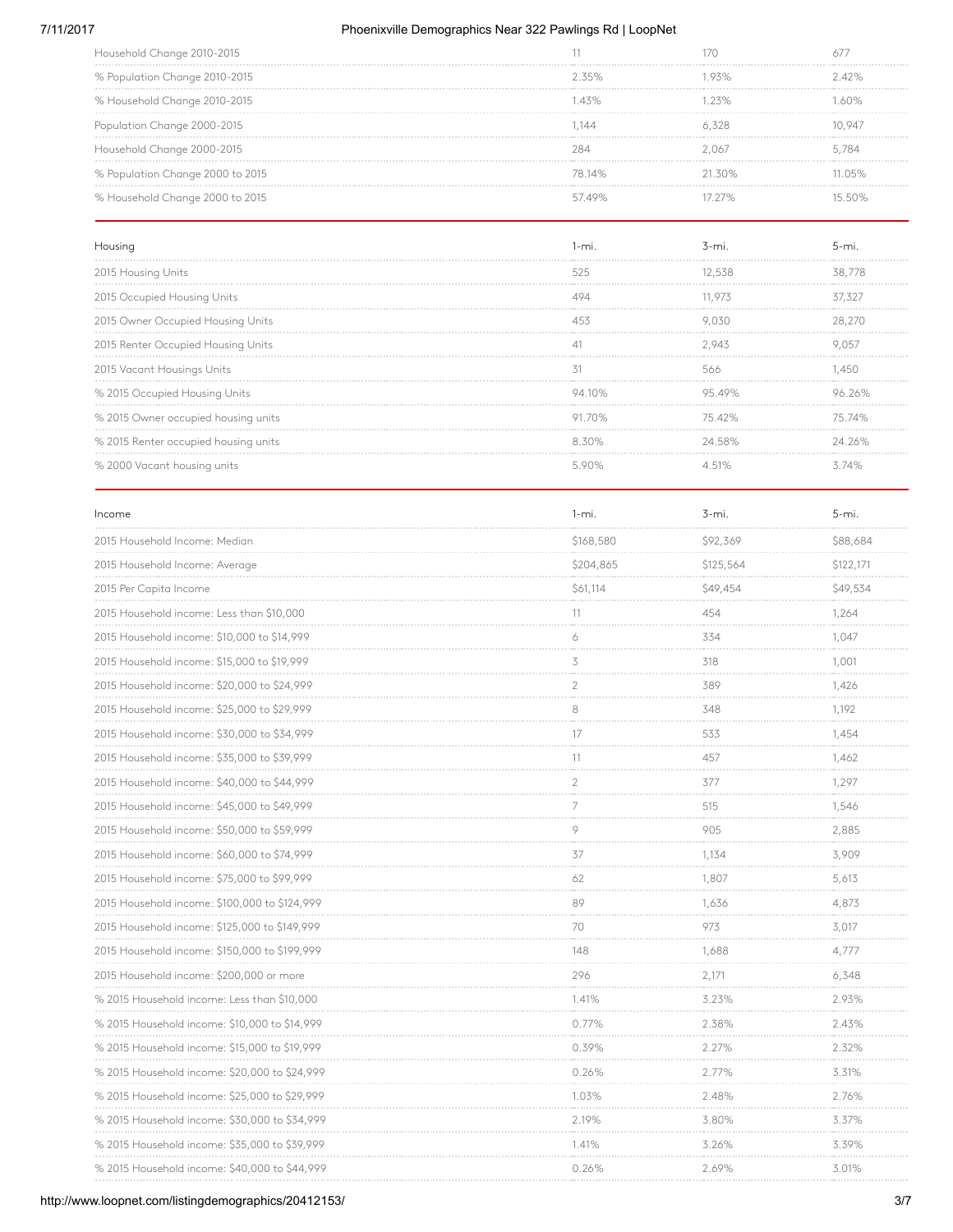### 7/11/2017 Phoenixville Demographics Near 322 Pawlings Rd | LoopNet

| Household Change 2010-2015       |             |           |        |
|----------------------------------|-------------|-----------|--------|
| % Population Change 2010-2015    | 235%        |           | 242%   |
| % Household Change 2010-2015     | $\Delta$ 3% | 75%       | 60%    |
| Population Change 2000-2015      | .144        |           | 10.947 |
| Household Change 2000-2015       |             | 067       | 5.784  |
| % Population Change 2000 to 2015 | 78 14%      | $21.30\%$ | 1 በ5%  |
| % Household Change 2000 to 2015  | 5749%       |           |        |

| Housing                              |        |        |        |
|--------------------------------------|--------|--------|--------|
| 2015 Housing Units                   | 525    |        | 38,778 |
| 2015 Occupied Housing Units          |        | 11.973 | 37.327 |
| 2015 Owner Occupied Housing Units    |        |        | 28.270 |
| 2015 Renter Occupied Housing Units   |        | 2 943  |        |
| 2015 Vacant Housings Units           |        | 566    |        |
| % 2015 Occupied Housing Units        | 94 10% | O5 40% |        |
| % 2015 Owner occupied housing units  | 91 70% | 7542%  | 75.74% |
| % 2015 Renter occupied housing units | 8.30%  | 24.58% | 24 26% |
| % 2000 Vacant housing units          |        |        |        |

| Income                                        | $1 - mi.$      | $3 - mi$ .    | 5-mi.                                        |
|-----------------------------------------------|----------------|---------------|----------------------------------------------|
| 2015 Household Income: Median                 | \$168,580<br>. | \$92,369      | \$88,684                                     |
| 2015 Household Income: Average                | \$204,865      | \$125,564     | \$122,171                                    |
| 2015 Per Capita Income                        | \$61,114<br>.  | \$49,454<br>. | \$49,534<br><b><i><u>Programment</u></i></b> |
| 2015 Household income: Less than \$10,000     | 11             | 454           | 1,264                                        |
| 2015 Household income: \$10,000 to \$14,999   | 6              | 334           | 1,047                                        |
| 2015 Household income: \$15,000 to \$19,999   | 3              | 318           | 1,001                                        |
| 2015 Household income: \$20,000 to \$24,999   | $\overline{2}$ | 389           | 1,426                                        |
| 2015 Household income: \$25,000 to \$29,999   | $\,8\,$        | 348           | 1,192                                        |
| 2015 Household income: \$30,000 to \$34,999   | 17             | 533           | 1,454<br><b>CONTRACTOR</b>                   |
| 2015 Household income: \$35,000 to \$39,999   | 11             | 457           | 1,462                                        |
| 2015 Household income: \$40,000 to \$44,999   | $\overline{2}$ | 377           | 1,297                                        |
| 2015 Household income: \$45,000 to \$49,999   | $\overline{7}$ | 515           | 1,546                                        |
| 2015 Household income: \$50,000 to \$59,999   | 9              | 905           | 2,885                                        |
| 2015 Household income: \$60,000 to \$74,999   | 37             | 1.134         | 3.909<br>.                                   |
| 2015 Household income: \$75,000 to \$99,999   | 62             | 1,807         | 5,613                                        |
| 2015 Household income: \$100,000 to \$124,999 | 89             | 1,636         | 4,873                                        |
| 2015 Household income: \$125,000 to \$149,999 | 70             | 973           | 3,017                                        |
| 2015 Household income: \$150,000 to \$199,999 | 148            | 1,688         | 4,777                                        |
| 2015 Household income: \$200,000 or more      | 296            | 2,171         | 6,348                                        |
| % 2015 Household income: Less than \$10,000   | 1.41%          | 3.23%<br>.    | 2.93%                                        |
| % 2015 Household income: \$10,000 to \$14,999 | 0.77%          | 2.38%         | 2.43%                                        |
| % 2015 Household income: \$15,000 to \$19,999 | 0.39%<br>.     | 2.27%         | 2.32%<br>.                                   |
| % 2015 Household income: \$20,000 to \$24,999 | 0.26%          | 2.77%         | 3.31%                                        |
| % 2015 Household income: \$25,000 to \$29,999 | 1.03%          | 2.48%         | 2.76%                                        |
| % 2015 Household income: \$30,000 to \$34,999 | 2.19%          | 3.80%         | 3.37%<br><b>Contractor</b>                   |
| % 2015 Household income: \$35,000 to \$39,999 | 1.41%          | 3.26%         | 3.39%                                        |
| % 2015 Household income: \$40,000 to \$44,999 | 0.26%          | 2.69%         | 3.01%                                        |
|                                               |                |               |                                              |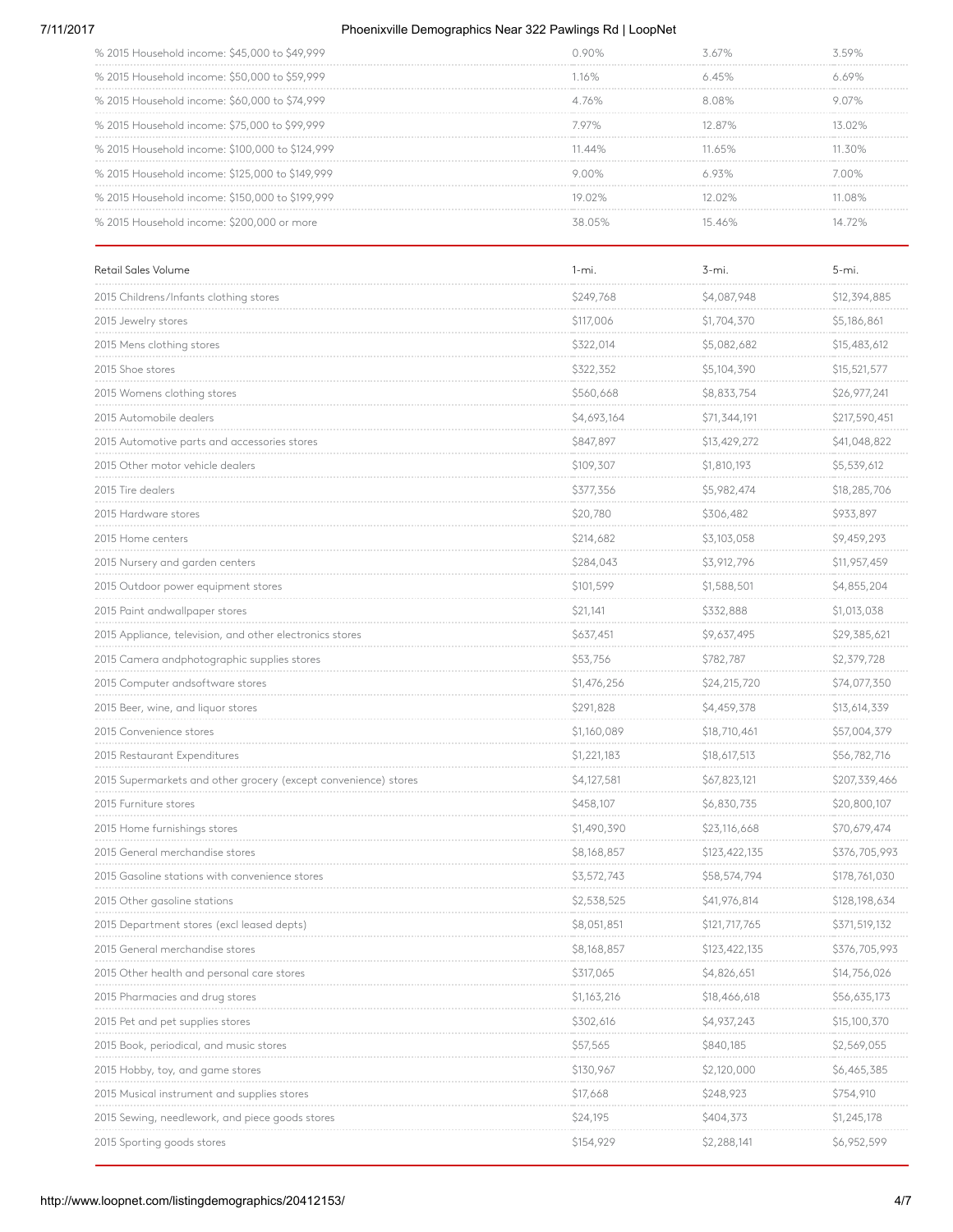### 7/11/2017 Phoenixville Demographics Near 322 Pawlings Rd | LoopNet

| % 2015 Household income: \$45,000 to \$49,999   |                  |        |     |
|-------------------------------------------------|------------------|--------|-----|
| % 2015 Household income: \$50,000 to \$59,999   |                  |        |     |
| % 2015 Household income: \$60,000 to \$74,999   | 176%             | 08%    |     |
| % 2015 Household income: \$75,000 to \$99,999   | 7 97%.           | 12 87% |     |
| % 2015 Household income: \$100,000 to \$124,999 | $\Delta\Delta\%$ |        |     |
| % 2015 Household income: \$125,000 to \$149,999 |                  |        | nn% |
| % 2015 Household income: \$150,000 to \$199,999 | 19 በ2%           |        | 08% |
| % 2015 Household income: \$200,000 or more      |                  |        |     |

| Retail Sales Volume                                             | $1 - mi$ .            | 3-mi.         | $5 - mi.$     |
|-----------------------------------------------------------------|-----------------------|---------------|---------------|
| 2015 Childrens/Infants clothing stores                          | \$249,768             | \$4,087,948   | \$12,394,885  |
| 2015 Jewelry stores                                             | \$117,006             | \$1,704,370   | \$5,186,861   |
| 2015 Mens clothing stores                                       | \$322,014             | \$5,082,682   | \$15,483,612  |
| 2015 Shoe stores                                                | \$322,352<br>a a cara | \$5,104,390   | \$15,521,577  |
| 2015 Womens clothing stores                                     | \$560,668             | \$8,833,754   | \$26,977,241  |
| 2015 Automobile deglers                                         | \$4,693,164           | \$71,344,191  | \$217,590,451 |
| 2015 Automotive parts and accessories stores                    | \$847,897             | \$13,429,272  | \$41,048,822  |
| 2015 Other motor vehicle dealers                                | \$109,307             | \$1,810,193   | \$5,539,612   |
| 2015 Tire dealers                                               | \$377,356             | \$5,982,474   | \$18,285,706  |
| 2015 Hardware stores                                            | \$20,780              | \$306,482     | \$933,897     |
| 2015 Home centers                                               | \$214,682             | \$3,103,058   | \$9,459,293   |
| 2015 Nursery and garden centers                                 | \$284,043             | \$3,912,796   | \$11,957,459  |
| 2015 Outdoor power equipment stores                             | \$101,599             | \$1,588,501   | \$4,855,204   |
| 2015 Paint andwallpaper stores                                  | \$21,141              | \$332,888     | \$1,013,038   |
| 2015 Appliance, television, and other electronics stores        | \$637,451             | \$9,637,495   | \$29,385,621  |
| 2015 Camera andphotographic supplies stores                     | \$53,756              | \$782,787     | \$2,379,728   |
| 2015 Computer andsoftware stores                                | \$1,476,256           | \$24,215,720  | \$74,077,350  |
| 2015 Beer, wine, and liquor stores                              | \$291,828             | \$4,459,378   | \$13,614,339  |
| 2015 Convenience stores                                         | \$1,160,089           | \$18,710,461  | \$57,004,379  |
| 2015 Restaurant Expenditures                                    | \$1,221,183           | \$18,617,513  | \$56,782,716  |
| 2015 Supermarkets and other grocery (except convenience) stores | \$4,127,581           | \$67,823,121  | \$207,339,466 |
| 2015 Furniture stores                                           | \$458,107             | \$6,830,735   | \$20,800,107  |
| 2015 Home furnishings stores                                    | \$1,490,390           | \$23,116,668  | \$70,679,474  |
| 2015 General merchandise stores                                 | \$8,168,857           | \$123,422,135 | \$376,705,993 |
| 2015 Gasoline stations with convenience stores                  | \$3,572,743           | \$58,574,794  | \$178,761,030 |
| 2015 Other gasoline stations                                    | \$2,538,525           | \$41,976,814  | \$128,198,634 |
| 2015 Department stores (excl leased depts)                      | \$8,051,851           | \$121,717,765 | \$371,519,132 |
| 2015 General merchandise stores                                 | \$8,168,857           | \$123,422,135 | \$376,705,993 |
| 2015 Other health and personal care stores                      | \$317,065             | \$4,826,651   | \$14,756,026  |
| 2015 Pharmacies and drug stores                                 | \$1,163,216           | \$18,466,618  | \$56,635,173  |
| 2015 Pet and pet supplies stores                                | \$302,616             | \$4,937,243   | \$15,100,370  |
| 2015 Book, periodical, and music stores                         | \$57,565              | \$840,185     | \$2,569,055   |
| 2015 Hobby, toy, and game stores                                | \$130,967             | \$2,120,000   | \$6,465,385   |
| 2015 Musical instrument and supplies stores                     | \$17,668              | \$248,923     | \$754,910     |
| 2015 Sewing, needlework, and piece goods stores                 | \$24,195              | \$404,373     | \$1,245,178   |
| 2015 Sporting goods stores                                      | \$154,929             | \$2,288,141   | \$6,952,599   |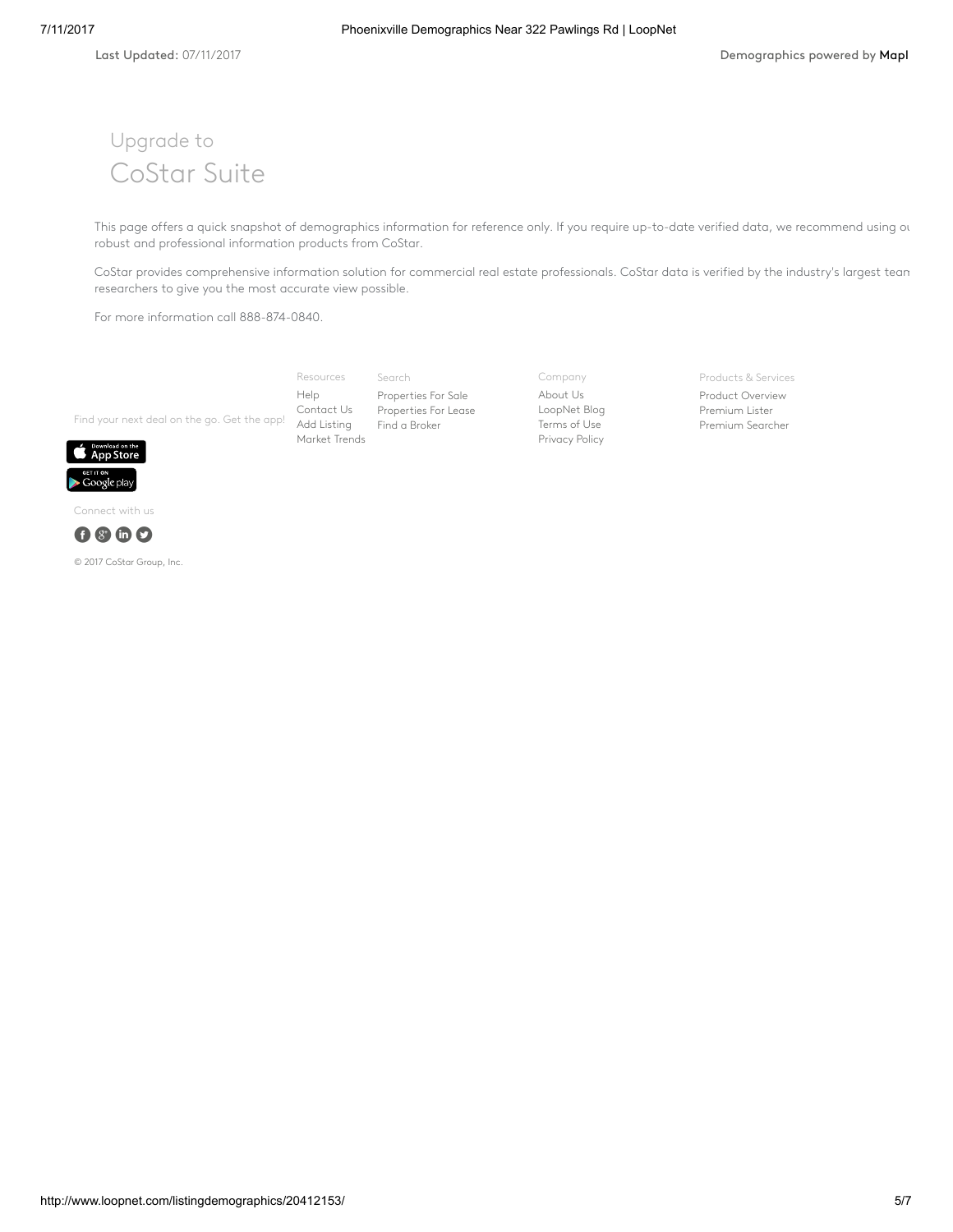# Upgrade to CoStar Suite

This page offers a quick snapshot of demographics information for reference only. If you require up-to-date verified data, we recommend using our robust and professional information products from CoStar.

CoStar provides comprehensive information solution for commercial real estate professionals. CoStar data is verified by the industry's largest tean researchers to give you the most accurate view possible.

For more information call 888-874-0840.

Find your next deal on the go. Get the app! Add [Listing](http://www.loopnet.com/xNet/MainSite/Listing/Manage/?LinkCode=31855) Search [Properties](http://www.loopnet.com/listingdemographics/20412153/) For Sale [Properties](http://www.loopnet.com/listingdemographics/20412153/) For Lease Find a [Broker](http://www.loopnet.com/xNet/MainSite/User/Directory/Search/SearchCriteria.aspx?LinkCode=31843) Resources [Help](http://www.loopnet.com/xNet/MainSite/Marketing/About/Help.aspx?LinkCode=31853) [Contact](http://www.loopnet.com/xNet/MainSite/Marketing/Contact/?LinkCode=31854) Us [Market](http://www.loopnet.com/markettrends/) Trends

Company [About](http://www.loopnet.com/About-Us/?LinkCode=31858) Us [LoopNet](http://blog.loopnet.com/?LinkCode=31861) Blog [Terms](http://www.loopnet.com/xNet/MainSite/Marketing/About/TermsAndConditions.aspx?LinkCode=31859) of Use [Privacy](http://www.loopnet.com/xNet/MainSite/Marketing/About/Privacy.aspx?LinkCode=31860) Policy

Products & Services

Product [Overview](http://www.loopnet.com/products/?LinkCode=31844) [Premium](http://www.loopnet.com/products/PremiumMembership/?LinkCode=31845) Lister [Premium](http://www.loopnet.com/xNet/MainSite/Marketing/Products/SearcherPro/?LinkCode=31846) Searcher



Connect with us



© 2017 CoStar Group, Inc.